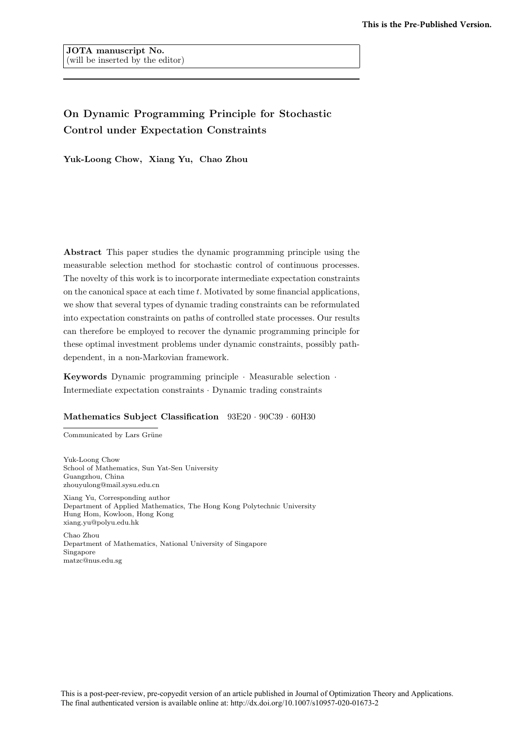# On Dynamic Programming Principle for Stochastic Control under Expectation Constraints

Yuk-Loong Chow, Xiang Yu, Chao Zhou

Abstract This paper studies the dynamic programming principle using the measurable selection method for stochastic control of continuous processes. The novelty of this work is to incorporate intermediate expectation constraints on the canonical space at each time  $t$ . Motivated by some financial applications, we show that several types of dynamic trading constraints can be reformulated into expectation constraints on paths of controlled state processes. Our results can therefore be employed to recover the dynamic programming principle for these optimal investment problems under dynamic constraints, possibly pathdependent, in a non-Markovian framework.

Keywords Dynamic programming principle · Measurable selection · Intermediate expectation constraints · Dynamic trading constraints

#### Mathematics Subject Classification  $93E20 \cdot 90C39 \cdot 60H30$

Communicated by Lars Grüne

Yuk-Loong Chow School of Mathematics, Sun Yat-Sen University Guangzhou, China zhouyulong@mail.sysu.edu.cn Xiang Yu, Corresponding author Department of Applied Mathematics, The Hong Kong Polytechnic University Hung Hom, Kowloon, Hong Kong xiang.yu@polyu.edu.hk

Chao Zhou Department of Mathematics, National University of Singapore Singapore matzc@nus.edu.sg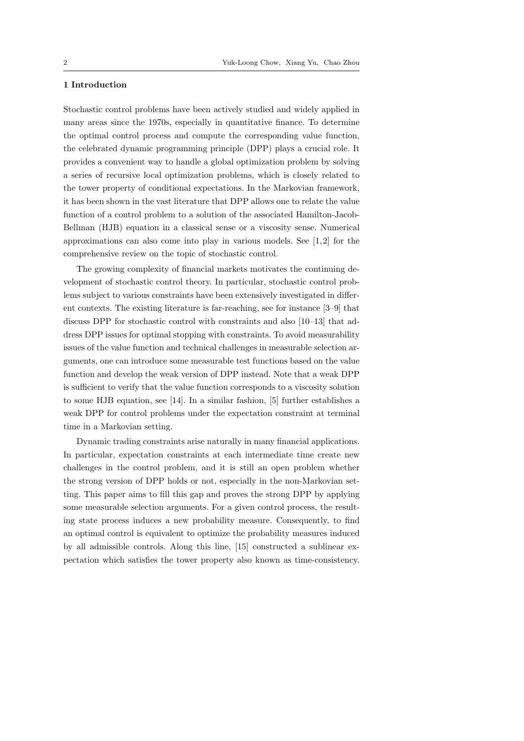# 1 Introduction

Stochastic control problems have been actively studied and widely applied in many areas since the 1970s, especially in quantitative finance. To determine the optimal control process and compute the corresponding value function, the celebrated dynamic programming principle (DPP) plays a crucial role. It provides a convenient way to handle a global optimization problem by solving a series of recursive local optimization problems, which is closely related to the tower property of conditional expectations. In the Markovian framework, it has been shown in the vast literature that DPP allows one to relate the value function of a control problem to a solution of the associated Hamilton-Jacob-Bellman (HJB) equation in a classical sense or a viscosity sense. Numerical approximations can also come into play in various models. See  $[1,2]$  for the comprehensive review on the topic of stochastic control.

The growing complexity of financial markets motivates the continuing development of stochastic control theory. In particular, stochastic control problems subject to various constraints have been extensively investigated in different contexts. The existing literature is far-reaching, see for instance [3–9] that discuss DPP for stochastic control with constraints and also [10–13] that address DPP issues for optimal stopping with constraints. To avoid measurability issues of the value function and technical challenges in measurable selection arguments, one can introduce some measurable test functions based on the value function and develop the weak version of DPP instead. Note that a weak DPP is sufficient to verify that the value function corresponds to a viscosity solution to some HJB equation, see [14]. In a similar fashion, [5] further establishes a weak DPP for control problems under the expectation constraint at terminal time in a Markovian setting.

Dynamic trading constraints arise naturally in many financial applications. In particular, expectation constraints at each intermediate time create new challenges in the control problem, and it is still an open problem whether the strong version of DPP holds or not, especially in the non-Markovian setting. This paper aims to fill this gap and proves the strong DPP by applying some measurable selection arguments. For a given control process, the resulting state process induces a new probability measure. Consequently, to find an optimal control is equivalent to optimize the probability measures induced by all admissible controls. Along this line, [15] constructed a sublinear expectation which satisfies the tower property also known as time-consistency.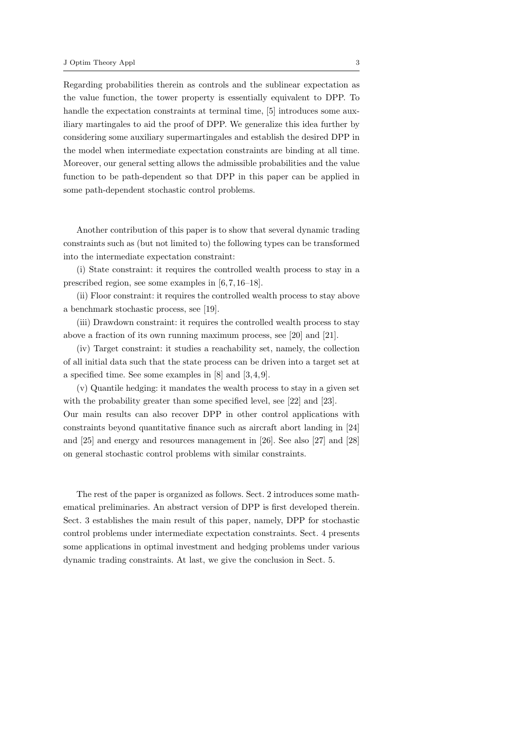Regarding probabilities therein as controls and the sublinear expectation as the value function, the tower property is essentially equivalent to DPP. To handle the expectation constraints at terminal time, [5] introduces some auxiliary martingales to aid the proof of DPP. We generalize this idea further by considering some auxiliary supermartingales and establish the desired DPP in the model when intermediate expectation constraints are binding at all time. Moreover, our general setting allows the admissible probabilities and the value function to be path-dependent so that DPP in this paper can be applied in some path-dependent stochastic control problems.

Another contribution of this paper is to show that several dynamic trading constraints such as (but not limited to) the following types can be transformed into the intermediate expectation constraint:

(i) State constraint: it requires the controlled wealth process to stay in a prescribed region, see some examples in [6, 7, 16–18].

(ii) Floor constraint: it requires the controlled wealth process to stay above a benchmark stochastic process, see [19].

(iii) Drawdown constraint: it requires the controlled wealth process to stay above a fraction of its own running maximum process, see [20] and [21].

(iv) Target constraint: it studies a reachability set, namely, the collection of all initial data such that the state process can be driven into a target set at a specified time. See some examples in [8] and [3, 4, 9].

(v) Quantile hedging: it mandates the wealth process to stay in a given set with the probability greater than some specified level, see [22] and [23]. Our main results can also recover DPP in other control applications with constraints beyond quantitative finance such as aircraft abort landing in [24] and [25] and energy and resources management in [26]. See also [27] and [28] on general stochastic control problems with similar constraints.

The rest of the paper is organized as follows. Sect. 2 introduces some mathematical preliminaries. An abstract version of DPP is first developed therein. Sect. 3 establishes the main result of this paper, namely, DPP for stochastic control problems under intermediate expectation constraints. Sect. 4 presents some applications in optimal investment and hedging problems under various dynamic trading constraints. At last, we give the conclusion in Sect. 5.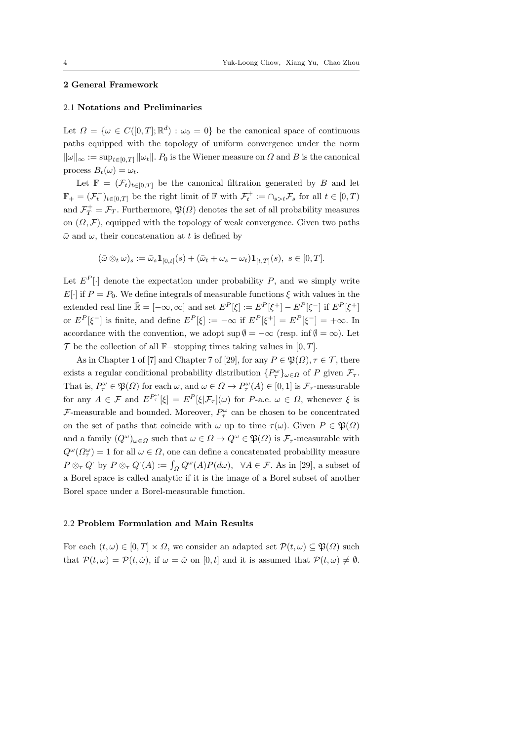## 2 General Framework

#### 2.1 Notations and Preliminaries

Let  $\Omega = {\omega \in C([0,T]; \mathbb{R}^d) : \omega_0 = 0}$  be the canonical space of continuous paths equipped with the topology of uniform convergence under the norm  $\|\omega\|_{\infty} := \sup_{t \in [0,T]} \|\omega_t\|$ .  $P_0$  is the Wiener measure on  $\Omega$  and B is the canonical process  $B_t(\omega) = \omega_t$ .

Let  $\mathbb{F} = (\mathcal{F}_t)_{t \in [0,T]}$  be the canonical filtration generated by B and let  $\mathbb{F}_+ = (\mathcal{F}_t^+)_{t \in [0,T]}$  be the right limit of  $\mathbb{F}$  with  $\mathcal{F}_t^+ := \cap_{s > t} \mathcal{F}_s$  for all  $t \in [0,T)$ and  $\mathcal{F}_T^+ = \mathcal{F}_T$ . Furthermore,  $\mathfrak{P}(\Omega)$  denotes the set of all probability measures on  $(\Omega, \mathcal{F})$ , equipped with the topology of weak convergence. Given two paths  $\bar{\omega}$  and  $\omega$ , their concatenation at t is defined by

$$
(\bar{\omega}\otimes_t\omega)_s := \bar{\omega}_s\mathbf{1}_{[0,t[}(s) + (\bar{\omega}_t + \omega_s - \omega_t)\mathbf{1}_{[t,T]}(s), \ s \in [0,T].
$$

Let  $E^P[\cdot]$  denote the expectation under probability P, and we simply write E[·] if  $P = P_0$ . We define integrals of measurable functions  $\xi$  with values in the extended real line  $\bar{\mathbb{R}} = [-\infty, \infty]$  and set  $E^P[\xi] := E^P[\xi^+] - E^P[\xi^-]$  if  $E^P[\xi^+]$ or  $E^P[\xi^-]$  is finite, and define  $E^P[\xi] := -\infty$  if  $E^P[\xi^+] = E^P[\xi^-] = +\infty$ . In accordance with the convention, we adopt  $\sup \emptyset = -\infty$  (resp. inf $\emptyset = \infty$ ). Let  $\mathcal T$  be the collection of all F-stopping times taking values in [0, T].

As in Chapter 1 of [7] and Chapter 7 of [29], for any  $P \in \mathfrak{P}(\Omega)$ ,  $\tau \in \mathcal{T}$ , there exists a regular conditional probability distribution  $\{P^{\omega}_{\tau}\}_{{\omega}\in\Omega}$  of P given  $\mathcal{F}_{\tau}$ . That is,  $P_{\tau}^{\omega} \in \mathfrak{P}(\Omega)$  for each  $\omega$ , and  $\omega \in \Omega \to P_{\tau}^{\omega}(A) \in [0,1]$  is  $\mathcal{F}_{\tau}$ -measurable for any  $A \in \mathcal{F}$  and  $E^{P^{\omega}_{\tau}}[\xi] = E^{P}[\xi | \mathcal{F}_{\tau}](\omega)$  for  $P$ -a.e.  $\omega \in \Omega$ , whenever  $\xi$  is  $\mathcal{F}$ -measurable and bounded. Moreover,  $P_{\tau}^{\omega}$  can be chosen to be concentrated on the set of paths that coincide with  $\omega$  up to time  $\tau(\omega)$ . Given  $P \in \mathfrak{P}(\Omega)$ and a family  $(Q^{\omega})_{\omega \in \Omega}$  such that  $\omega \in \Omega \to Q^{\omega} \in \mathfrak{P}(\Omega)$  is  $\mathcal{F}_{\tau}$ -measurable with  $Q^{\omega}(\Omega_{\tau}^{\omega}) = 1$  for all  $\omega \in \Omega$ , one can define a concatenated probability measure  $P \otimes_{\tau} Q$  by  $P \otimes_{\tau} Q$   $(A) := \int_{\Omega} Q^{\omega}(A) P(d\omega), \quad \forall A \in \mathcal{F}$ . As in [29], a subset of a Borel space is called analytic if it is the image of a Borel subset of another Borel space under a Borel-measurable function.

### 2.2 Problem Formulation and Main Results

For each  $(t, \omega) \in [0, T] \times \Omega$ , we consider an adapted set  $\mathcal{P}(t, \omega) \subseteq \mathfrak{P}(\Omega)$  such that  $\mathcal{P}(t,\omega) = \mathcal{P}(t,\tilde{\omega})$ , if  $\omega = \tilde{\omega}$  on  $[0,t]$  and it is assumed that  $\mathcal{P}(t,\omega) \neq \emptyset$ .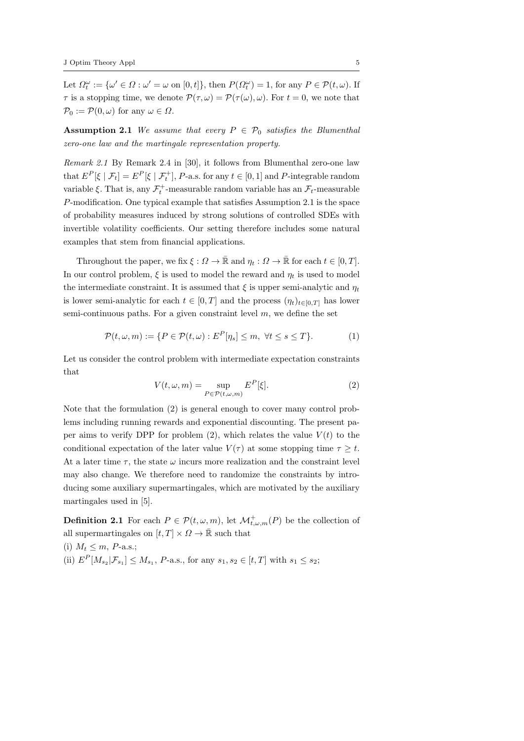Let  $\Omega_t^{\omega} := {\omega' \in \Omega : \omega' = \omega \text{ on } [0, t]}, \text{ then } P(\Omega_t^{\omega}) = 1, \text{ for any } P \in \mathcal{P}(t, \omega).$  If  $\tau$  is a stopping time, we denote  $\mathcal{P}(\tau,\omega) = \mathcal{P}(\tau(\omega),\omega)$ . For  $t = 0$ , we note that  $\mathcal{P}_0 := \mathcal{P}(0,\omega)$  for any  $\omega \in \Omega$ .

**Assumption 2.1** We assume that every  $P \in \mathcal{P}_0$  satisfies the Blumenthal zero-one law and the martingale representation property.

Remark 2.1 By Remark 2.4 in [30], it follows from Blumenthal zero-one law that  $E^P[\xi | \mathcal{F}_t] = E^P[\xi | \mathcal{F}_t^+]$ , *P*-a.s. for any  $t \in [0, 1]$  and *P*-integrable random variable  $\xi$ . That is, any  $\mathcal{F}_t^+$ -measurable random variable has an  $\mathcal{F}_t$ -measurable P-modification. One typical example that satisfies Assumption 2.1 is the space of probability measures induced by strong solutions of controlled SDEs with invertible volatility coefficients. Our setting therefore includes some natural examples that stem from financial applications.

Throughout the paper, we fix  $\xi : \Omega \to \mathbb{R}$  and  $\eta_t : \Omega \to \mathbb{R}$  for each  $t \in [0, T]$ . In our control problem,  $\xi$  is used to model the reward and  $\eta_t$  is used to model the intermediate constraint. It is assumed that  $\xi$  is upper semi-analytic and  $\eta_t$ is lower semi-analytic for each  $t \in [0, T]$  and the process  $(\eta_t)_{t \in [0, T]}$  has lower semi-continuous paths. For a given constraint level  $m$ , we define the set

$$
\mathcal{P}(t,\omega,m) := \{ P \in \mathcal{P}(t,\omega) : E^P[\eta_s] \leq m, \ \forall t \leq s \leq T \}. \tag{1}
$$

Let us consider the control problem with intermediate expectation constraints that

$$
V(t,\omega,m) = \sup_{P \in \mathcal{P}(t,\omega,m)} E^P[\xi].
$$
 (2)

Note that the formulation (2) is general enough to cover many control problems including running rewards and exponential discounting. The present paper aims to verify DPP for problem  $(2)$ , which relates the value  $V(t)$  to the conditional expectation of the later value  $V(\tau)$  at some stopping time  $\tau \geq t$ . At a later time  $\tau$ , the state  $\omega$  incurs more realization and the constraint level may also change. We therefore need to randomize the constraints by introducing some auxiliary supermartingales, which are motivated by the auxiliary martingales used in [5].

**Definition 2.1** For each  $P \in \mathcal{P}(t, \omega, m)$ , let  $\mathcal{M}^+_{t, \omega, m}(P)$  be the collection of all supermartingales on  $[t, T] \times \Omega \rightarrow \bar{\mathbb{R}}$  such that

(i)  $M_t \leq m$ , *P*-a.s.; (ii)  $E^P[M_{s_2}|\mathcal{F}_{s_1}] \leq M_{s_1}, P$ -a.s., for any  $s_1, s_2 \in [t, T]$  with  $s_1 \leq s_2$ ;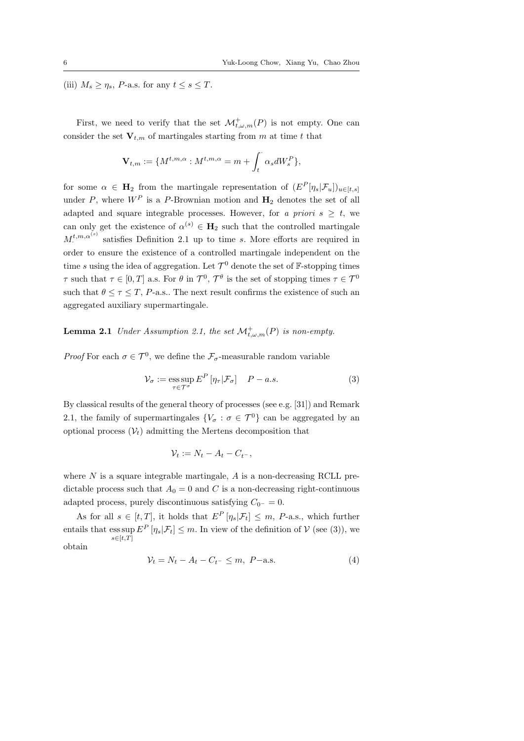(iii)  $M_s \geq \eta_s$ , *P*-a.s. for any  $t \leq s \leq T$ .

First, we need to verify that the set  $\mathcal{M}^+_{t,\omega,m}(P)$  is not empty. One can consider the set  $V_{t,m}$  of martingales starting from m at time t that

$$
\mathbf{V}_{t,m}:=\{M^{t,m,\alpha}:M^{t,m,\alpha}=m+\int_t^{\cdot}\alpha_sdW_s^P\},
$$

for some  $\alpha \in \mathbf{H}_2$  from the martingale representation of  $(E^P[\eta_s|\mathcal{F}_u])_{u \in [t,s]}$ under P, where  $W^P$  is a P-Brownian motion and  $H_2$  denotes the set of all adapted and square integrable processes. However, for a priori  $s \geq t$ , we can only get the existence of  $\alpha^{(s)} \in \mathbf{H}_2$  such that the controlled martingale  $M_{\cdot}^{t,m,\alpha^{(s)}}$  satisfies Definition 2.1 up to time s. More efforts are required in order to ensure the existence of a controlled martingale independent on the time s using the idea of aggregation. Let  $\mathcal{T}^0$  denote the set of F-stopping times  $\tau$  such that  $\tau \in [0, T]$  a.s. For  $\theta$  in  $\mathcal{T}^0$ ,  $\mathcal{T}^{\theta}$  is the set of stopping times  $\tau \in \mathcal{T}^0$ such that  $\theta \leq \tau \leq T$ , P-a.s.. The next result confirms the existence of such an aggregated auxiliary supermartingale.

**Lemma 2.1** Under Assumption 2.1, the set  $\mathcal{M}^+_{t,\omega,m}(P)$  is non-empty.

*Proof* For each  $\sigma \in \mathcal{T}^0$ , we define the  $\mathcal{F}_{\sigma}$ -measurable random variable

$$
\mathcal{V}_{\sigma} := \underset{\tau \in \mathcal{T}^{\sigma}}{\operatorname{ess\,sup}} \, E^P \left[ \eta_{\tau} | \mathcal{F}_{\sigma} \right] \quad P - a.s. \tag{3}
$$

By classical results of the general theory of processes (see e.g. [31]) and Remark 2.1, the family of supermartingales  ${V_\sigma : \sigma \in \mathcal{T}^0}$  can be aggregated by an optional process  $(\mathcal{V}_t)$  admitting the Mertens decomposition that

$$
\mathcal{V}_t := N_t - A_t - C_{t^-},
$$

where  $N$  is a square integrable martingale,  $A$  is a non-decreasing RCLL predictable process such that  $A_0 = 0$  and C is a non-decreasing right-continuous adapted process, purely discontinuous satisfying  $C_{0^-} = 0$ .

As for all  $s \in [t, T]$ , it holds that  $E^P[\eta_s | \mathcal{F}_t] \leq m$ , P-a.s., which further entails that  $\text{ess sup } E^P[\eta_s | \mathcal{F}_t] \leq m$ . In view of the definition of  $\mathcal{V}$  (see (3)), we  $s \in [t,T]$ obtain

$$
\mathcal{V}_t = N_t - A_t - C_{t^-} \le m, \ P - a.s. \tag{4}
$$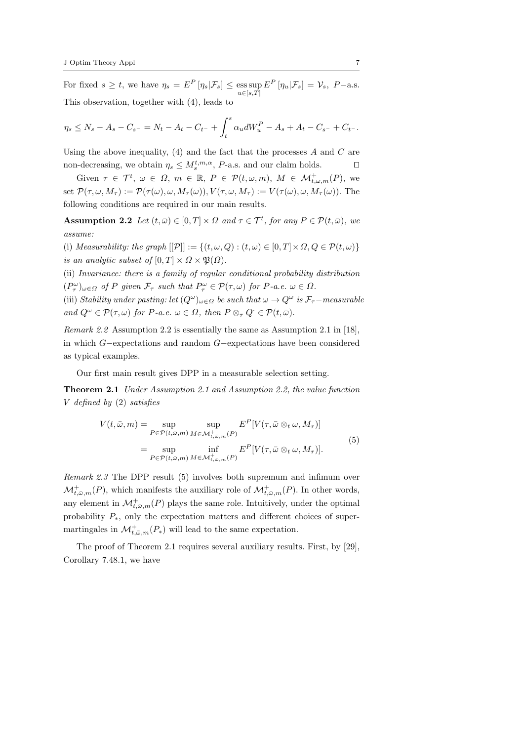For fixed  $s \geq t$ , we have  $\eta_s = E^P[\eta_s | \mathcal{F}_s] \leq \underset{u \in [s,T]}{\text{ess sup }} E^P[\eta_u | \mathcal{F}_s] = \mathcal{V}_s$ ,  $P-\text{a.s.}$ This observation, together with (4), leads to

$$
\eta_s \le N_s - A_s - C_{s^-} = N_t - A_t - C_{t^-} + \int_t^s \alpha_u dW_u^P - A_s + A_t - C_{s^-} + C_{t^-}.
$$

Using the above inequality,  $(4)$  and the fact that the processes A and C are non-decreasing, we obtain  $\eta_s \leq M_s^{t,m,\alpha}$ , *P*-a.s. and our claim holds.  $\square$ 

Given  $\tau \in \mathcal{T}^t$ ,  $\omega \in \Omega$ ,  $m \in \mathbb{R}$ ,  $P \in \mathcal{P}(t,\omega,m)$ ,  $M \in \mathcal{M}_{t,\omega,m}^+(P)$ , we set  $\mathcal{P}(\tau,\omega,M_{\tau}) := \mathcal{P}(\tau(\omega),\omega,M_{\tau}(\omega)), V(\tau,\omega,M_{\tau}) := V(\tau(\omega),\omega,M_{\tau}(\omega)).$  The following conditions are required in our main results.

**Assumption 2.2** Let  $(t,\bar{\omega}) \in [0,T] \times \Omega$  and  $\tau \in \mathcal{T}^t$ , for any  $P \in \mathcal{P}(t,\bar{\omega})$ , we assume:

(i) Measurability: the graph  $[[\mathcal{P}]]:= \{(t,\omega,Q):(t,\omega)\in [0,T]\times\Omega, Q\in \mathcal{P}(t,\omega)\}\$ is an analytic subset of  $[0, T] \times \Omega \times \mathfrak{P}(\Omega)$ .

(ii) Invariance: there is a family of regular conditional probability distribution  $(P^{\omega}_{\tau})_{\omega \in \Omega}$  of P given  $\mathcal{F}_{\tau}$  such that  $P^{\omega}_{\tau} \in \mathcal{P}(\tau, \omega)$  for P-a.e.  $\omega \in \Omega$ .

(iii) Stability under pasting: let  $(Q^{\omega})_{\omega \in \Omega}$  be such that  $\omega \to Q^{\omega}$  is  $\mathcal{F}_{\tau}$ -measurable and  $Q^{\omega} \in \mathcal{P}(\tau, \omega)$  for P-a.e.  $\omega \in \Omega$ , then  $P \otimes_{\tau} Q \in \mathcal{P}(t, \bar{\omega})$ .

Remark 2.2 Assumption 2.2 is essentially the same as Assumption 2.1 in [18], in which G−expectations and random G−expectations have been considered as typical examples.

Our first main result gives DPP in a measurable selection setting.

Theorem 2.1 Under Assumption 2.1 and Assumption 2.2, the value function V defined by (2) satisfies

$$
V(t,\bar{\omega},m) = \sup_{P \in \mathcal{P}(t,\bar{\omega},m)} \sup_{M \in \mathcal{M}_{t,\bar{\omega},m}^+(P)} E^P[V(\tau,\bar{\omega} \otimes_t \omega,M_\tau)]
$$
  
= 
$$
\sup_{P \in \mathcal{P}(t,\bar{\omega},m)} \inf_{M \in \mathcal{M}_{t,\bar{\omega},m}^+(P)} E^P[V(\tau,\bar{\omega} \otimes_t \omega,M_\tau)].
$$
  
(5)

Remark 2.3 The DPP result (5) involves both supremum and infimum over  $\mathcal{M}_{t,\bar{\omega},m}^+(P)$ , which manifests the auxiliary role of  $\mathcal{M}_{t,\bar{\omega},m}^+(P)$ . In other words, any element in  $\mathcal{M}_{t,\bar{\omega},m}^+(P)$  plays the same role. Intuitively, under the optimal probability  $P_*$ , only the expectation matters and different choices of supermartingales in  $\mathcal{M}_{t,\bar{\omega},m}^+(P_*)$  will lead to the same expectation.

The proof of Theorem 2.1 requires several auxiliary results. First, by [29], Corollary 7.48.1, we have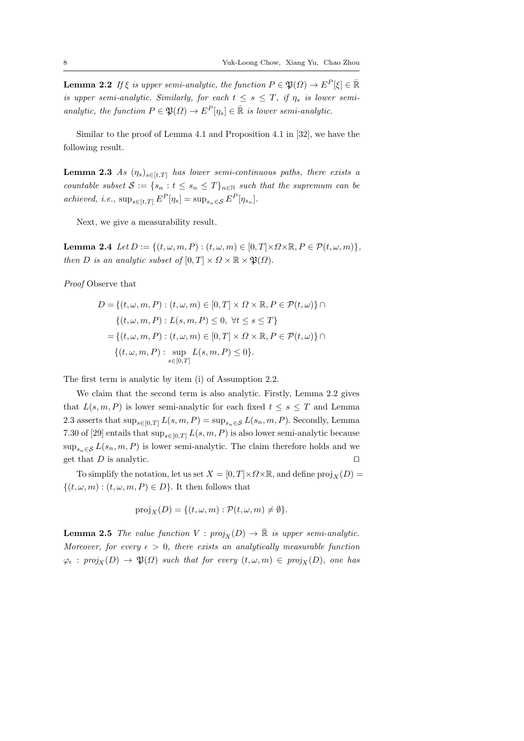**Lemma 2.2** If  $\xi$  is upper semi-analytic, the function  $P \in \mathfrak{P}(\Omega) \to E^P[\xi] \in \mathbb{R}$ is upper semi-analytic. Similarly, for each  $t \leq s \leq T$ , if  $\eta_s$  is lower semianalytic, the function  $P \in \mathfrak{P}(\Omega) \to E^P[\eta_s] \in \mathbb{R}$  is lower semi-analytic.

Similar to the proof of Lemma 4.1 and Proposition 4.1 in [32], we have the following result.

**Lemma 2.3** As  $(\eta_s)_{s \in [t,T]}$  has lower semi-continuous paths, there exists a countable subset  $S := \{s_n : t \le s_n \le T\}_{n \in \mathbb{N}}$  such that the supremum can be achieved, i.e.,  $\sup_{s \in [t,T]} E^P[\eta_s] = \sup_{s_n \in S} E^P[\eta_{s_n}].$ 

Next, we give a measurability result.

Lemma 2.4  $Let D := \{(t, \omega, m, P) : (t, \omega, m) \in [0, T] \times \Omega \times \mathbb{R}, P \in \mathcal{P}(t, \omega, m)\},\$ then D is an analytic subset of  $[0, T] \times \Omega \times \mathbb{R} \times \mathfrak{P}(\Omega)$ .

Proof Observe that

$$
D = \{(t, \omega, m, P) : (t, \omega, m) \in [0, T] \times \Omega \times \mathbb{R}, P \in \mathcal{P}(t, \omega)\} \cap
$$
  

$$
\{(t, \omega, m, P) : L(s, m, P) \le 0, \forall t \le s \le T\}
$$
  

$$
= \{(t, \omega, m, P) : (t, \omega, m) \in [0, T] \times \Omega \times \mathbb{R}, P \in \mathcal{P}(t, \omega)\} \cap
$$
  

$$
\{(t, \omega, m, P) : \sup_{s \in [0, T]} L(s, m, P) \le 0\}.
$$

The first term is analytic by item (i) of Assumption 2.2.

We claim that the second term is also analytic. Firstly, Lemma 2.2 gives that  $L(s, m, P)$  is lower semi-analytic for each fixed  $t \leq s \leq T$  and Lemma 2.3 asserts that  $\sup_{s\in[0,T]} L(s,m,P) = \sup_{s_n\in\mathcal{S}} L(s_n,m,P)$ . Secondly, Lemma 7.30 of [29] entails that  $\sup_{s\in[0,T]} L(s,m,P)$  is also lower semi-analytic because  $\sup_{s_n \in \mathcal{S}} L(s_n, m, P)$  is lower semi-analytic. The claim therefore holds and we get that  $D$  is analytic.  $\Box$ 

To simplify the notation, let us set  $X = [0, T] \times \Omega \times \mathbb{R}$ , and define  $\text{proj}_X(D) =$  $\{(t, \omega, m) : (t, \omega, m, P) \in D\}$ . It then follows that

$$
\text{proj}_X(D) = \{ (t, \omega, m) : \mathcal{P}(t, \omega, m) \neq \emptyset \}.
$$

**Lemma 2.5** The value function  $V : proj_X(D) \to \overline{\mathbb{R}}$  is upper semi-analytic. Moreover, for every  $\epsilon > 0$ , there exists an analytically measurable function  $\varphi_{\epsilon} : proj_X(D) \to \mathfrak{P}(\Omega)$  such that for every  $(t, \omega, m) \in proj_X(D)$ , one has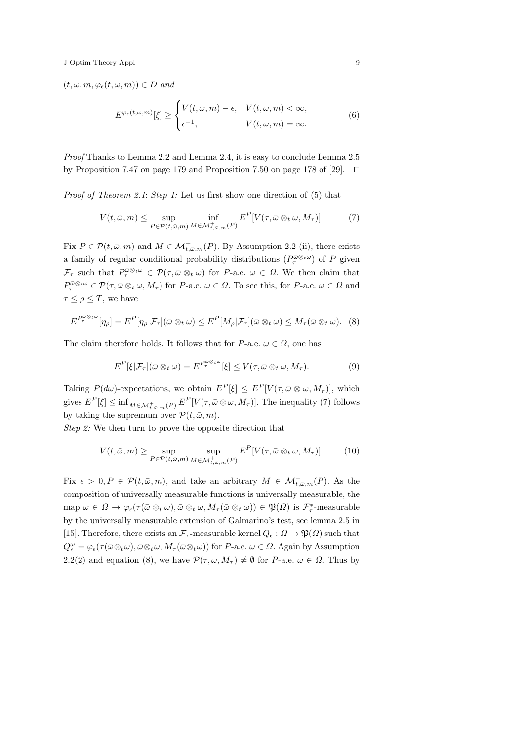$(t, \omega, m, \varphi_{\epsilon}(t, \omega, m)) \in D$  and

$$
E^{\varphi_{\epsilon}(t,\omega,m)}[\xi] \geq \begin{cases} V(t,\omega,m) - \epsilon, & V(t,\omega,m) < \infty, \\ \epsilon^{-1}, & V(t,\omega,m) = \infty. \end{cases}
$$
(6)

Proof Thanks to Lemma 2.2 and Lemma 2.4, it is easy to conclude Lemma 2.5 by Proposition 7.47 on page 179 and Proposition 7.50 on page 178 of [29].  $\Box$ 

Proof of Theorem 2.1: Step 1: Let us first show one direction of (5) that

$$
V(t,\bar{\omega},m) \leq \sup_{P \in \mathcal{P}(t,\bar{\omega},m)} \inf_{M \in \mathcal{M}_{t,\bar{\omega},m}^+(P)} E^P[V(\tau,\bar{\omega} \otimes_t \omega,M_\tau)]. \tag{7}
$$

Fix  $P \in \mathcal{P}(t, \bar{\omega}, m)$  and  $M \in \mathcal{M}_{t, \bar{\omega}, m}^+(P)$ . By Assumption 2.2 (ii), there exists a family of regular conditional probability distributions  $(P^{\bar{\omega} \otimes_t \omega}_{\tau})$  of P given  $\mathcal{F}_{\tau}$  such that  $P_{\tau}^{\bar{\omega}\otimes_{t}\omega} \in \mathcal{P}(\tau,\bar{\omega}\otimes_{t}\omega)$  for P-a.e.  $\omega \in \Omega$ . We then claim that  $P_{\tau}^{\bar{\omega}\otimes_{t}\omega}\in\mathcal{P}(\tau,\bar{\omega}\otimes_{t}\omega,M_{\tau})$  for P-a.e.  $\omega\in\Omega$ . To see this, for P-a.e.  $\omega\in\Omega$  and  $\tau \leq \rho \leq T$ , we have

$$
E^{P_{\tau}^{\bar{\omega}_{\otimes t}\omega}}[\eta_{\rho}] = E^{P}[\eta_{\rho}|\mathcal{F}_{\tau}](\bar{\omega}\otimes_{t}\omega) \leq E^{P}[M_{\rho}|\mathcal{F}_{\tau}](\bar{\omega}\otimes_{t}\omega) \leq M_{\tau}(\bar{\omega}\otimes_{t}\omega). \tag{8}
$$

The claim therefore holds. It follows that for P-a.e.  $\omega \in \Omega$ , one has

$$
E^{P}[\xi|\mathcal{F}_{\tau}](\bar{\omega}\otimes_{t}\omega) = E^{P_{\tau}^{\bar{\omega}\otimes t\omega}}[\xi] \le V(\tau,\bar{\omega}\otimes_{t}\omega,M_{\tau}).
$$
\n(9)

Taking  $P(d\omega)$ -expectations, we obtain  $E^P[\xi] \leq E^P[V(\tau, \bar{\omega} \otimes \omega, M_{\tau})]$ , which gives  $E^P[\xi] \le \inf_{M \in \mathcal{M}_{t,\bar{\omega},m}^+(P)} E^P[V(\tau,\bar{\omega} \otimes \omega,M_{\tau})]$ . The inequality (7) follows by taking the supremum over  $\mathcal{P}(t, \bar{\omega}, m)$ .

Step 2: We then turn to prove the opposite direction that

$$
V(t,\bar{\omega},m) \ge \sup_{P \in \mathcal{P}(t,\bar{\omega},m)} \sup_{M \in \mathcal{M}^+_{t,\bar{\omega},m}(P)} E^P[V(\tau,\bar{\omega} \otimes_t \omega,M_\tau)]. \tag{10}
$$

Fix  $\epsilon > 0, P \in \mathcal{P}(t, \bar{\omega}, m)$ , and take an arbitrary  $M \in \mathcal{M}_{t, \bar{\omega}, m}^+(P)$ . As the composition of universally measurable functions is universally measurable, the map  $\omega \in \Omega \to \varphi_\epsilon(\tau(\bar{\omega} \otimes_t \omega), \bar{\omega} \otimes_t \omega, M_\tau(\bar{\omega} \otimes_t \omega)) \in \mathfrak{P}(\Omega)$  is  $\mathcal{F}^*_\tau$ -measurable by the universally measurable extension of Galmarino's test, see lemma 2.5 in [15]. Therefore, there exists an  $\mathcal{F}_{\tau}$ -measurable kernel  $Q_{\epsilon} : \Omega \to \mathfrak{P}(\Omega)$  such that  $Q_{\epsilon}^{\omega} = \varphi_{\epsilon}(\tau(\bar{\omega} \otimes_t \omega), \bar{\omega} \otimes_t \omega, M_{\tau}(\bar{\omega} \otimes_t \omega))$  for P-a.e.  $\omega \in \Omega$ . Again by Assumption 2.2(2) and equation (8), we have  $\mathcal{P}(\tau,\omega,M_{\tau})\neq\emptyset$  for P-a.e.  $\omega\in\Omega$ . Thus by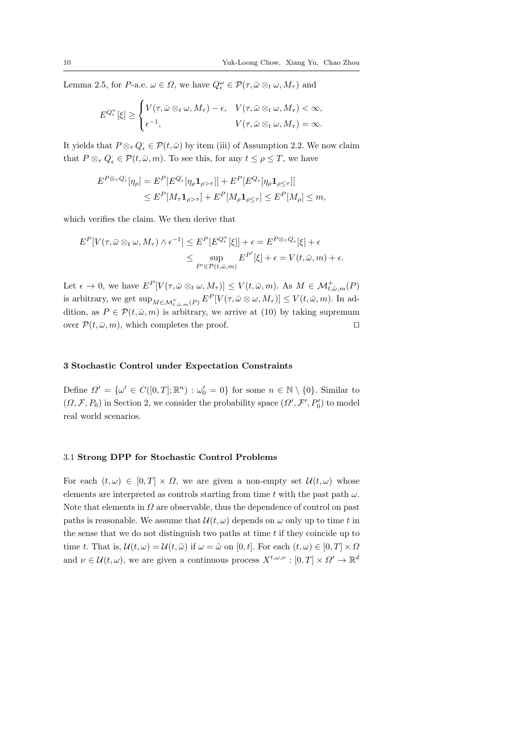Lemma 2.5, for P-a.e.  $\omega \in \Omega$ , we have  $Q_{\epsilon}^{\omega} \in \mathcal{P}(\tau, \bar{\omega} \otimes_t \omega, M_{\tau})$  and

$$
E^{Q_{\epsilon}^{\omega}}[\xi] \geq \begin{cases} V(\tau, \bar{\omega} \otimes_t \omega, M_{\tau}) - \epsilon, & V(\tau, \bar{\omega} \otimes_t \omega, M_{\tau}) < \infty, \\ \epsilon^{-1}, & V(\tau, \bar{\omega} \otimes_t \omega, M_{\tau}) = \infty. \end{cases}
$$

It yields that  $P \otimes_{\tau} Q_{\epsilon} \in \mathcal{P}(t, \bar{\omega})$  by item (iii) of Assumption 2.2. We now claim that  $P \otimes_{\tau} Q_{\epsilon} \in \mathcal{P}(t, \bar{\omega}, m)$ . To see this, for any  $t \leq \rho \leq T$ , we have

$$
E^{P \otimes \tau Q_{\epsilon}}[\eta_{\rho}] = E^{P}[E^{Q_{\epsilon}}[\eta_{\rho} \mathbf{1}_{\rho > \tau}]] + E^{P}[E^{Q_{\epsilon}}[\eta_{\rho} \mathbf{1}_{\rho \le \tau}]]
$$
  

$$
\le E^{P}[M_{\tau} \mathbf{1}_{\rho > \tau}] + E^{P}[M_{\rho} \mathbf{1}_{\rho \le \tau}] \le E^{P}[M_{\rho}] \le m,
$$

which verifies the claim. We then derive that

$$
E^{P}[V(\tau,\bar{\omega}\otimes_{t}\omega,M_{\tau})\wedge\epsilon^{-1}] \leq E^{P}[E^{Q_{\epsilon}^{\omega}}[\xi]]+\epsilon = E^{P\otimes_{\tau}Q_{\epsilon}}[\xi]+\epsilon
$$
  

$$
\leq \sup_{P'\in\mathcal{P}(t,\bar{\omega},m)} E^{P'}[\xi]+\epsilon = V(t,\bar{\omega},m)+\epsilon.
$$

Let  $\epsilon \to 0$ , we have  $E^P[V(\tau,\bar{\omega}\otimes_t\omega,M_{\tau})] \leq V(t,\bar{\omega},m)$ . As  $M \in \mathcal{M}_{t,\bar{\omega},m}^+(P)$ is arbitrary, we get  $\sup_{M \in \mathcal{M}_{t,\bar{\omega},m}^+(P)} E^P[V(\tau,\bar{\omega} \otimes \omega,M_{\tau})] \le V(t,\bar{\omega},m)$ . In addition, as  $P \in \mathcal{P}(t, \bar{\omega}, m)$  is arbitrary, we arrive at (10) by taking supremum over  $\mathcal{P}(t, \bar{\omega}, m)$ , which completes the proof.

### 3 Stochastic Control under Expectation Constraints

Define  $\Omega' = {\omega' \in C([0,T];\mathbb{R}^n) : \omega_0' = 0}$  for some  $n \in \mathbb{N} \setminus \{0\}$ . Similar to  $(\Omega, \mathcal{F}, P_0)$  in Section 2, we consider the probability space  $(\Omega', \mathcal{F}', P'_0)$  to model real world scenarios.

# 3.1 Strong DPP for Stochastic Control Problems

For each  $(t, \omega) \in [0, T] \times \Omega$ , we are given a non-empty set  $\mathcal{U}(t, \omega)$  whose elements are interpreted as controls starting from time t with the past path  $\omega$ . Note that elements in  $\Omega$  are observable, thus the dependence of control on past paths is reasonable. We assume that  $\mathcal{U}(t,\omega)$  depends on  $\omega$  only up to time t in the sense that we do not distinguish two paths at time  $t$  if they coincide up to time t. That is,  $\mathcal{U}(t,\omega) = \mathcal{U}(t,\tilde{\omega})$  if  $\omega = \tilde{\omega}$  on [0, t]. For each  $(t,\omega) \in [0,T] \times \Omega$ and  $\nu \in \mathcal{U}(t,\omega)$ , we are given a continuous process  $X^{t,\omega,\nu} : [0,T] \times \Omega' \to \mathbb{R}^d$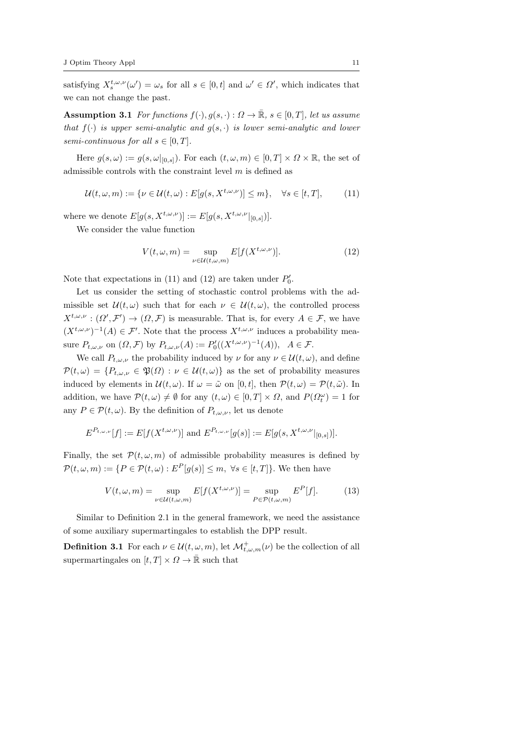satisfying  $X_s^{t,\omega,\nu}(\omega') = \omega_s$  for all  $s \in [0,t]$  and  $\omega' \in \Omega'$ , which indicates that we can not change the past.

Assumption 3.1 For functions  $f(\cdot), g(s, \cdot): \Omega \to \overline{\mathbb{R}}, s \in [0, T]$ , let us assume that  $f(\cdot)$  is upper semi-analytic and  $g(s, \cdot)$  is lower semi-analytic and lower semi-continuous for all  $s \in [0, T]$ .

Here  $g(s, \omega) := g(s, \omega|_{[0,s]})$ . For each  $(t, \omega, m) \in [0, T] \times \Omega \times \mathbb{R}$ , the set of admissible controls with the constraint level  $m$  is defined as

$$
\mathcal{U}(t,\omega,m) := \{ \nu \in \mathcal{U}(t,\omega) : E[g(s,X^{t,\omega,\nu})] \le m \}, \quad \forall s \in [t,T],
$$
 (11)

where we denote  $E[g(s, X^{t,\omega,\nu})] := E[g(s, X^{t,\omega,\nu}|_{[0,s]})].$ 

We consider the value function

$$
V(t,\omega,m) = \sup_{\nu \in \mathcal{U}(t,\omega,m)} E[f(X^{t,\omega,\nu})].
$$
 (12)

Note that expectations in (11) and (12) are taken under  $P'_0$ .

Let us consider the setting of stochastic control problems with the admissible set  $\mathcal{U}(t,\omega)$  such that for each  $\nu \in \mathcal{U}(t,\omega)$ , the controlled process  $X^{t,\omega,\nu}: (\Omega', \mathcal{F}') \to (\Omega, \mathcal{F})$  is measurable. That is, for every  $A \in \mathcal{F}$ , we have  $(X^{t,\omega,\nu})^{-1}(A) \in \mathcal{F}'$ . Note that the process  $X^{t,\omega,\nu}$  induces a probability measure  $P_{t,\omega,\nu}$  on  $(\Omega,\mathcal{F})$  by  $P_{t,\omega,\nu}(A) := P'_0((X^{t,\omega,\nu})^{-1}(A)), A \in \mathcal{F}.$ 

We call  $P_{t,\omega,\nu}$  the probability induced by  $\nu$  for any  $\nu \in \mathcal{U}(t,\omega)$ , and define  $\mathcal{P}(t,\omega) = \{P_{t,\omega,\nu} \in \mathfrak{P}(\Omega) : \nu \in \mathcal{U}(t,\omega)\}\$ as the set of probability measures induced by elements in  $\mathcal{U}(t,\omega)$ . If  $\omega = \tilde{\omega}$  on [0, t], then  $\mathcal{P}(t,\omega) = \mathcal{P}(t,\tilde{\omega})$ . In addition, we have  $\mathcal{P}(t,\omega) \neq \emptyset$  for any  $(t,\omega) \in [0,T] \times \Omega$ , and  $P(\Omega_t^{\omega}) = 1$  for any  $P \in \mathcal{P}(t, \omega)$ . By the definition of  $P_{t, \omega, \nu}$ , let us denote

$$
E^{P_{t,\omega,\nu}}[f] := E[f(X^{t,\omega,\nu})] \text{ and } E^{P_{t,\omega,\nu}}[g(s)] := E[g(s,X^{t,\omega,\nu}|_{[0,s]})].
$$

Finally, the set  $\mathcal{P}(t, \omega, m)$  of admissible probability measures is defined by  $\mathcal{P}(t,\omega,m) := \{P \in \mathcal{P}(t,\omega) : E^P[q(s)] \leq m, \ \forall s \in [t,T]\}.$  We then have

$$
V(t,\omega,m) = \sup_{\nu \in \mathcal{U}(t,\omega,m)} E[f(X^{t,\omega,\nu})] = \sup_{P \in \mathcal{P}(t,\omega,m)} E^P[f]. \tag{13}
$$

Similar to Definition 2.1 in the general framework, we need the assistance of some auxiliary supermartingales to establish the DPP result.

**Definition 3.1** For each  $\nu \in \mathcal{U}(t, \omega, m)$ , let  $\mathcal{M}_{t, \omega, m}^{+}(\nu)$  be the collection of all supermartingales on  $[t, T] \times \Omega \rightarrow \bar{\mathbb{R}}$  such that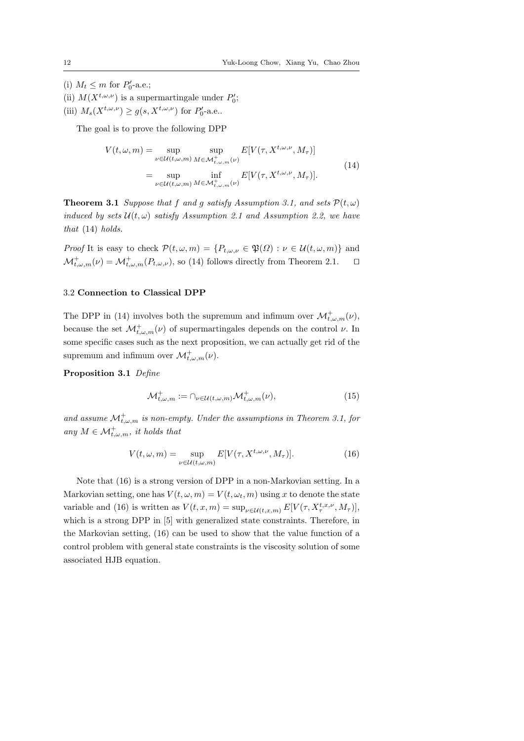(i)  $M_t \leq m$  for  $P'_0$ -a.e.;

(ii)  $M(X^{t,\omega,\nu})$  is a supermartingale under  $P'_0$ ;

(iii)  $M_s(X^{t,\omega,\nu}) \ge g(s, X^{t,\omega,\nu})$  for  $P'_0$ -a.e..

The goal is to prove the following DPP

$$
V(t, \omega, m) = \sup_{\nu \in \mathcal{U}(t, \omega, m)} \sup_{M \in \mathcal{M}_{t, \omega, m}^+( \nu)} E[V(\tau, X^{t, \omega, \nu}, M_\tau)]
$$
  
= 
$$
\sup_{\nu \in \mathcal{U}(t, \omega, m)} \inf_{M \in \mathcal{M}_{t, \omega, m}^+( \nu)} E[V(\tau, X^{t, \omega, \nu}, M_\tau)].
$$
 (14)

**Theorem 3.1** Suppose that f and g satisfy Assumption 3.1, and sets  $\mathcal{P}(t,\omega)$ induced by sets  $\mathcal{U}(t, \omega)$  satisfy Assumption 2.1 and Assumption 2.2, we have that (14) holds.

*Proof* It is easy to check  $\mathcal{P}(t, \omega, m) = \{P_{t, \omega, \nu} \in \mathfrak{P}(\Omega) : \nu \in \mathcal{U}(t, \omega, m)\}\$ and  $\mathcal{M}^+_{t,\omega,m}(\nu) = \mathcal{M}^+_{t,\omega,m}(P_{t,\omega,\nu})$ , so (14) follows directly from Theorem 2.1.  $\square$ 

# 3.2 Connection to Classical DPP

The DPP in (14) involves both the supremum and infimum over  $\mathcal{M}^+_{t,\omega,m}(\nu)$ , because the set  $\mathcal{M}_{t,\omega,m}^+(\nu)$  of supermartingales depends on the control  $\nu$ . In some specific cases such as the next proposition, we can actually get rid of the supremum and infimum over  $\mathcal{M}^+_{t,\omega,m}(\nu)$ .

Proposition 3.1 Define

$$
\mathcal{M}_{t,\omega,m}^+ := \bigcap_{\nu \in \mathcal{U}(t,\omega,m)} \mathcal{M}_{t,\omega,m}^+(\nu),\tag{15}
$$

and assume  $\mathcal{M}_{t,\omega,m}^+$  is non-empty. Under the assumptions in Theorem 3.1, for any  $M \in \mathcal{M}_{t,\omega,m}^+$ , it holds that

$$
V(t,\omega,m) = \sup_{\nu \in \mathcal{U}(t,\omega,m)} E[V(\tau, X^{t,\omega,\nu}, M_{\tau})]. \tag{16}
$$

Note that (16) is a strong version of DPP in a non-Markovian setting. In a Markovian setting, one has  $V(t, \omega, m) = V(t, \omega_t, m)$  using x to denote the state variable and (16) is written as  $V(t, x, m) = \sup_{\nu \in \mathcal{U}(t, x, m)} E[V(\tau, X_{\tau}^{t, x, \nu}, M_{\tau})],$ which is a strong DPP in [5] with generalized state constraints. Therefore, in the Markovian setting, (16) can be used to show that the value function of a control problem with general state constraints is the viscosity solution of some associated HJB equation.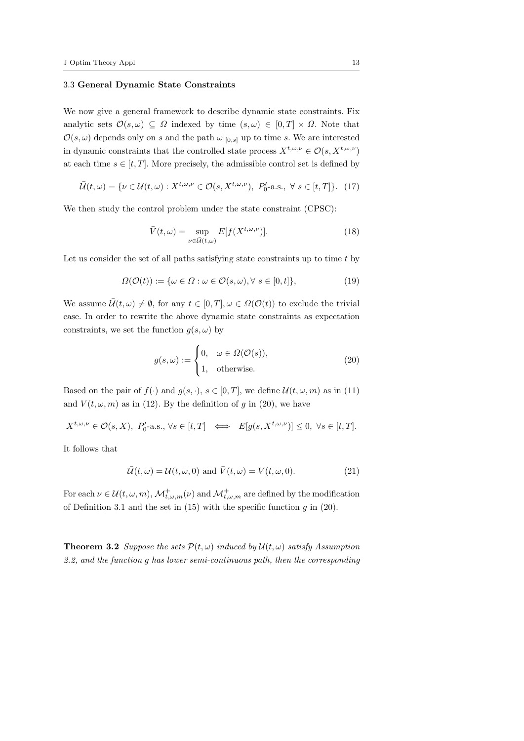## 3.3 General Dynamic State Constraints

We now give a general framework to describe dynamic state constraints. Fix analytic sets  $\mathcal{O}(s,\omega) \subseteq \Omega$  indexed by time  $(s,\omega) \in [0,T] \times \Omega$ . Note that  $\mathcal{O}(s,\omega)$  depends only on s and the path  $\omega|_{[0,s]}$  up to time s. We are interested in dynamic constraints that the controlled state process  $X^{t,\omega,\nu}\in \mathcal{O}(s,X^{t,\omega,\nu})$ at each time  $s \in [t, T]$ . More precisely, the admissible control set is defined by

$$
\bar{\mathcal{U}}(t,\omega) = \{ \nu \in \mathcal{U}(t,\omega) : X^{t,\omega,\nu} \in \mathcal{O}(s,X^{t,\omega,\nu}), \ P'_0\text{-a.s., } \forall s \in [t,T] \}. \tag{17}
$$

We then study the control problem under the state constraint (CPSC):

$$
\bar{V}(t,\omega) = \sup_{\nu \in \bar{U}(t,\omega)} E[f(X^{t,\omega,\nu})]. \tag{18}
$$

Let us consider the set of all paths satisfying state constraints up to time  $t$  by

$$
\Omega(\mathcal{O}(t)) := \{ \omega \in \Omega : \omega \in \mathcal{O}(s, \omega), \forall s \in [0, t] \},\tag{19}
$$

We assume  $\bar{\mathcal{U}}(t,\omega) \neq \emptyset$ , for any  $t \in [0,T], \omega \in \Omega(\mathcal{O}(t))$  to exclude the trivial case. In order to rewrite the above dynamic state constraints as expectation constraints, we set the function  $g(s, \omega)$  by

$$
g(s,\omega) := \begin{cases} 0, & \omega \in \Omega(\mathcal{O}(s)), \\ 1, & \text{otherwise.} \end{cases}
$$
 (20)

Based on the pair of  $f(\cdot)$  and  $g(s, \cdot), s \in [0, T]$ , we define  $\mathcal{U}(t, \omega, m)$  as in (11) and  $V(t, \omega, m)$  as in (12). By the definition of g in (20), we have

$$
X^{t,\omega,\nu}\in\mathcal{O}(s,X),\ P'_0\text{-a.s., }\forall s\in[t,T] \iff E[g(s,X^{t,\omega,\nu})]\leq 0,\ \forall s\in[t,T].
$$

It follows that

$$
\bar{U}(t,\omega) = U(t,\omega,0) \text{ and } \bar{V}(t,\omega) = V(t,\omega,0). \tag{21}
$$

For each  $\nu \in \mathcal{U}(t,\omega,m)$ ,  $\mathcal{M}^+_{t,\omega,m}(\nu)$  and  $\mathcal{M}^+_{t,\omega,m}$  are defined by the modification of Definition 3.1 and the set in  $(15)$  with the specific function g in  $(20)$ .

**Theorem 3.2** Suppose the sets  $\mathcal{P}(t,\omega)$  induced by  $\mathcal{U}(t,\omega)$  satisfy Assumption 2.2, and the function g has lower semi-continuous path, then the corresponding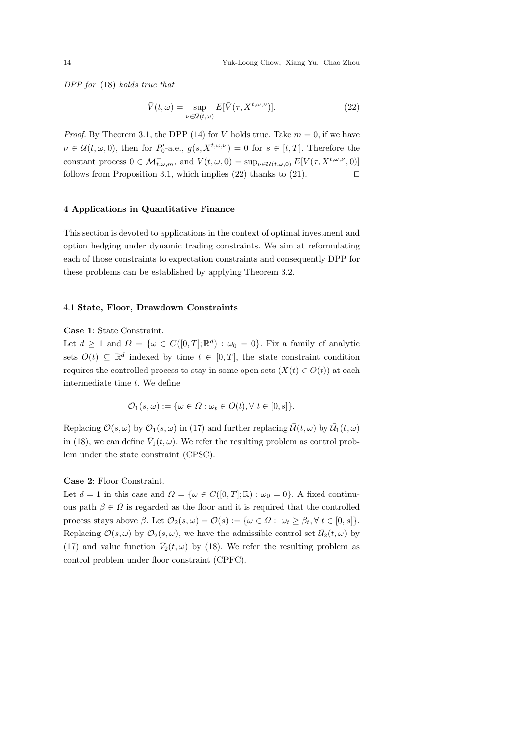DPP for (18) holds true that

$$
\bar{V}(t,\omega) = \sup_{\nu \in \bar{U}(t,\omega)} E[\bar{V}(\tau, X^{t,\omega,\nu})]. \tag{22}
$$

*Proof.* By Theorem 3.1, the DPP (14) for V holds true. Take  $m = 0$ , if we have  $\nu \in \mathcal{U}(t,\omega,0)$ , then for  $P'_0$ -a.e.,  $g(s,X^{t,\omega,\nu})=0$  for  $s \in [t,T]$ . Therefore the constant process  $0 \in \mathcal{M}_{t,\omega,m}^+$ , and  $V(t,\omega,0) = \sup_{\nu \in \mathcal{U}(t,\omega,0)} E[V(\tau, X^{t,\omega,\nu},0)]$ follows from Proposition 3.1, which implies (22) thanks to (21).  $\Box$ 

## 4 Applications in Quantitative Finance

This section is devoted to applications in the context of optimal investment and option hedging under dynamic trading constraints. We aim at reformulating each of those constraints to expectation constraints and consequently DPP for these problems can be established by applying Theorem 3.2.

## 4.1 State, Floor, Drawdown Constraints

## Case 1: State Constraint.

Let  $d \geq 1$  and  $\Omega = {\omega \in C([0,T]; \mathbb{R}^d) : \omega_0 = 0}.$  Fix a family of analytic sets  $O(t) \subseteq \mathbb{R}^d$  indexed by time  $t \in [0,T]$ , the state constraint condition requires the controlled process to stay in some open sets  $(X(t) \in O(t))$  at each intermediate time  $t$ . We define

$$
\mathcal{O}_1(s,\omega) := \{\omega \in \Omega : \omega_t \in O(t), \forall t \in [0,s] \}.
$$

Replacing  $\mathcal{O}(s,\omega)$  by  $\mathcal{O}_1(s,\omega)$  in (17) and further replacing  $\bar{\mathcal{U}}(t,\omega)$  by  $\bar{\mathcal{U}}_1(t,\omega)$ in (18), we can define  $\bar{V}_1(t,\omega)$ . We refer the resulting problem as control problem under the state constraint (CPSC).

#### Case 2: Floor Constraint.

Let  $d = 1$  in this case and  $\Omega = {\omega \in C([0, T]; \mathbb{R}) : \omega_0 = 0}.$  A fixed continuous path  $\beta \in \Omega$  is regarded as the floor and it is required that the controlled process stays above  $\beta$ . Let  $\mathcal{O}_2(s,\omega) = \mathcal{O}(s) := \{\omega \in \Omega : \omega_t \geq \beta_t, \forall t \in [0,s]\}.$ Replacing  $\mathcal{O}(s,\omega)$  by  $\mathcal{O}_2(s,\omega)$ , we have the admissible control set  $\overline{\mathcal{U}}_2(t,\omega)$  by (17) and value function  $\bar{V}_2(t,\omega)$  by (18). We refer the resulting problem as control problem under floor constraint (CPFC).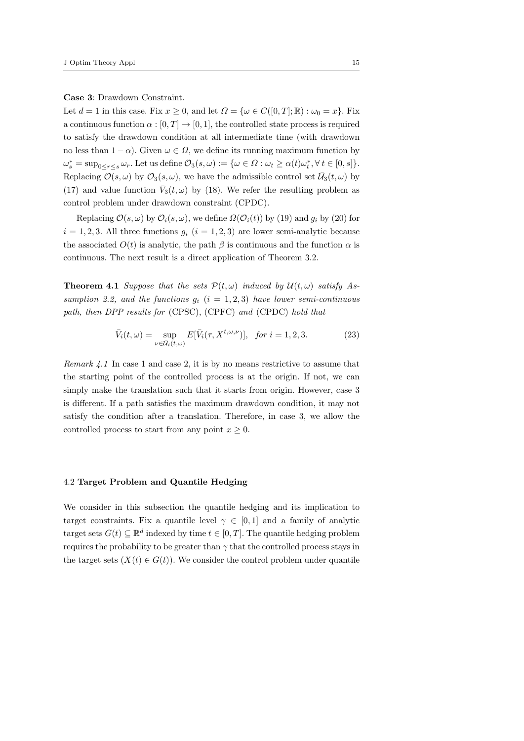Case 3: Drawdown Constraint.

Let  $d = 1$  in this case. Fix  $x \geq 0$ , and let  $\Omega = {\omega \in C([0, T]; \mathbb{R}) : \omega_0 = x}$ . Fix a continuous function  $\alpha : [0, T] \to [0, 1]$ , the controlled state process is required to satisfy the drawdown condition at all intermediate time (with drawdown no less than  $1 - \alpha$ ). Given  $\omega \in \Omega$ , we define its running maximum function by  $\omega_s^* = \sup_{0 \le r \le s} \omega_r$ . Let us define  $\mathcal{O}_3(s, \omega) := \{ \omega \in \Omega : \omega_t \ge \alpha(t) \omega_t^*, \forall t \in [0, s] \}.$ Replacing  $\mathcal{O}(s,\omega)$  by  $\mathcal{O}_3(s,\omega)$ , we have the admissible control set  $\bar{\mathcal{U}}_3(t,\omega)$  by (17) and value function  $\bar{V}_3(t,\omega)$  by (18). We refer the resulting problem as control problem under drawdown constraint (CPDC).

Replacing  $\mathcal{O}(s,\omega)$  by  $\mathcal{O}_i(s,\omega)$ , we define  $\Omega(\mathcal{O}_i(t))$  by (19) and  $g_i$  by (20) for  $i = 1, 2, 3$ . All three functions  $g_i$   $(i = 1, 2, 3)$  are lower semi-analytic because the associated  $O(t)$  is analytic, the path  $\beta$  is continuous and the function  $\alpha$  is continuous. The next result is a direct application of Theorem 3.2.

**Theorem 4.1** Suppose that the sets  $\mathcal{P}(t,\omega)$  induced by  $\mathcal{U}(t,\omega)$  satisfy Assumption 2.2, and the functions  $g_i$   $(i = 1, 2, 3)$  have lower semi-continuous path, then DPP results for (CPSC), (CPFC) and (CPDC) hold that

$$
\bar{V}_i(t,\omega) = \sup_{\nu \in \bar{U}_i(t,\omega)} E[\bar{V}_i(\tau, X^{t,\omega,\nu})], \quad \text{for } i = 1, 2, 3. \tag{23}
$$

Remark 4.1 In case 1 and case 2, it is by no means restrictive to assume that the starting point of the controlled process is at the origin. If not, we can simply make the translation such that it starts from origin. However, case 3 is different. If a path satisfies the maximum drawdown condition, it may not satisfy the condition after a translation. Therefore, in case 3, we allow the controlled process to start from any point  $x \geq 0$ .

## 4.2 Target Problem and Quantile Hedging

We consider in this subsection the quantile hedging and its implication to target constraints. Fix a quantile level  $\gamma \in [0,1]$  and a family of analytic target sets  $G(t) \subseteq \mathbb{R}^d$  indexed by time  $t \in [0, T]$ . The quantile hedging problem requires the probability to be greater than  $\gamma$  that the controlled process stays in the target sets  $(X(t) \in G(t))$ . We consider the control problem under quantile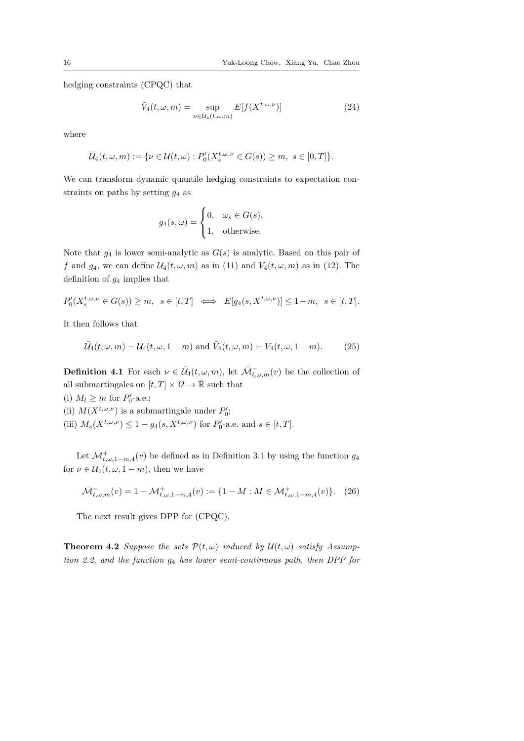hedging constraints (CPQC) that

$$
\bar{V}_4(t,\omega,m) = \sup_{\nu \in \bar{U}_4(t,\omega,m)} E[f(X^{t,\omega,\nu})]
$$
\n(24)

where

$$
\bar{\mathcal{U}}_4(t,\omega,m):=\{\nu\in\mathcal{U}(t,\omega):P'_0(X_s^{t,\omega,\nu}\in G(s))\geq m,\ s\in[0,T]\}.
$$

We can transform dynamic quantile hedging constraints to expectation constraints on paths by setting  $q_4$  as

$$
g_4(s,\omega) = \begin{cases} 0, & \omega_s \in G(s), \\ 1, & \text{otherwise.} \end{cases}
$$

Note that  $g_4$  is lower semi-analytic as  $G(s)$  is analytic. Based on this pair of f and  $g_4$ , we can define  $\mathcal{U}_4(t,\omega,m)$  as in (11) and  $V_4(t,\omega,m)$  as in (12). The definition of  $g_4$  implies that

$$
P'_0(X_s^{t,\omega,\nu} \in G(s)) \ge m, \quad s \in [t,T] \iff E[g_4(s, X^{t,\omega,\nu})] \le 1-m, \quad s \in [t,T].
$$

It then follows that

$$
\bar{U}_4(t,\omega,m) = U_4(t,\omega,1-m) \text{ and } \bar{V}_4(t,\omega,m) = V_4(t,\omega,1-m). \tag{25}
$$

**Definition 4.1** For each  $\nu \in \overline{\mathcal{U}}_4(t, \omega, m)$ , let  $\overline{\mathcal{M}}_{t, \omega, m}^-(v)$  be the collection of all submartingales on  $[t, T] \times \Omega \rightarrow \bar{\mathbb{R}}$  such that

- (i)  $M_t \geq m$  for  $P'_0$ -a.e.;
- (ii)  $M(X^{t,\omega,\nu})$  is a submartingale under  $P'_0$ ;
- (iii)  $M_s(X^{t,\omega,\nu}) \leq 1 g_4(s, X^{t,\omega,\nu})$  for  $P'_0$ -a.e. and  $s \in [t, T]$ .

Let  $\mathcal{M}^+_{t,\omega,1-m,4}(v)$  be defined as in Definition 3.1 by using the function  $g_4$ for  $\nu \in \mathcal{U}_4(t, \omega, 1-m)$ , then we have

$$
\bar{\mathcal{M}}_{t,\omega,m}^-(v) = 1 - \mathcal{M}_{t,\omega,1-m,4}^+(v) := \{ 1 - M : M \in \mathcal{M}_{t,\omega,1-m,4}^+(v) \}. \tag{26}
$$

The next result gives DPP for (CPQC).

**Theorem 4.2** Suppose the sets  $\mathcal{P}(t,\omega)$  induced by  $\mathcal{U}(t,\omega)$  satisfy Assumption 2.2, and the function  $g_4$  has lower semi-continuous path, then DPP for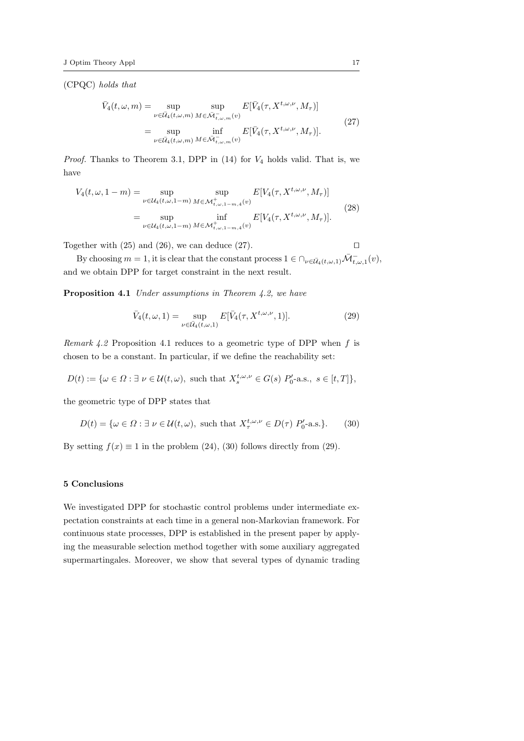(CPQC) holds that

$$
\bar{V}_4(t,\omega,m) = \sup_{\nu \in \bar{U}_4(t,\omega,m)} \sup_{M \in \bar{\mathcal{M}}_{t,\omega,m}(v)} E[\bar{V}_4(\tau, X^{t,\omega,\nu}, M_\tau)]
$$
\n
$$
= \sup_{\nu \in \bar{U}_4(t,\omega,m)} \inf_{M \in \bar{\mathcal{M}}_{t,\omega,m}(v)} E[\bar{V}_4(\tau, X^{t,\omega,\nu}, M_\tau)].
$$
\n(27)

*Proof.* Thanks to Theorem 3.1, DPP in  $(14)$  for  $V_4$  holds valid. That is, we have

$$
V_4(t, \omega, 1 - m) = \sup_{\nu \in \mathcal{U}_4(t, \omega, 1 - m)} \sup_{M \in \mathcal{M}^+_{t, \omega, 1 - m, 4}(v)} E[V_4(\tau, X^{t, \omega, \nu}, M_\tau)]
$$
  
= 
$$
\sup_{\nu \in \mathcal{U}_4(t, \omega, 1 - m)} \inf_{M \in \mathcal{M}^+_{t, \omega, 1 - m, 4}(v)} E[V_4(\tau, X^{t, \omega, \nu}, M_\tau)].
$$
 (28)

Together with  $(25)$  and  $(26)$ , we can deduce  $(27)$ .

By choosing  $m = 1$ , it is clear that the constant process  $1 \in \bigcap_{\nu \in \bar{U}_4(t,\omega,1)} \bar{\mathcal{M}}_{t,\omega,1}^-(v)$ , and we obtain DPP for target constraint in the next result.

Proposition 4.1 Under assumptions in Theorem 4.2, we have

$$
\bar{V}_4(t,\omega,1) = \sup_{\nu \in \bar{U}_4(t,\omega,1)} E[\bar{V}_4(\tau, X^{t,\omega,\nu},1)]. \tag{29}
$$

Remark 4.2 Proposition 4.1 reduces to a geometric type of DPP when  $f$  is chosen to be a constant. In particular, if we define the reachability set:

$$
D(t):=\{\omega\in\Omega: \exists\,\,\nu\in\mathcal{U}(t,\omega),\,\,\text{such that}\,\,X_s^{t,\omega,\nu}\in G(s)\,\,P_0'\text{-a.s.,}\,\,s\in[t,T]\},
$$

the geometric type of DPP states that

$$
D(t) = \{ \omega \in \Omega : \exists \ \nu \in \mathcal{U}(t, \omega), \text{ such that } X_{\tau}^{t, \omega, \nu} \in D(\tau) \ P_0' \text{-a.s.} \}. \tag{30}
$$

By setting  $f(x) \equiv 1$  in the problem (24), (30) follows directly from (29).

## 5 Conclusions

We investigated DPP for stochastic control problems under intermediate expectation constraints at each time in a general non-Markovian framework. For continuous state processes, DPP is established in the present paper by applying the measurable selection method together with some auxiliary aggregated supermartingales. Moreover, we show that several types of dynamic trading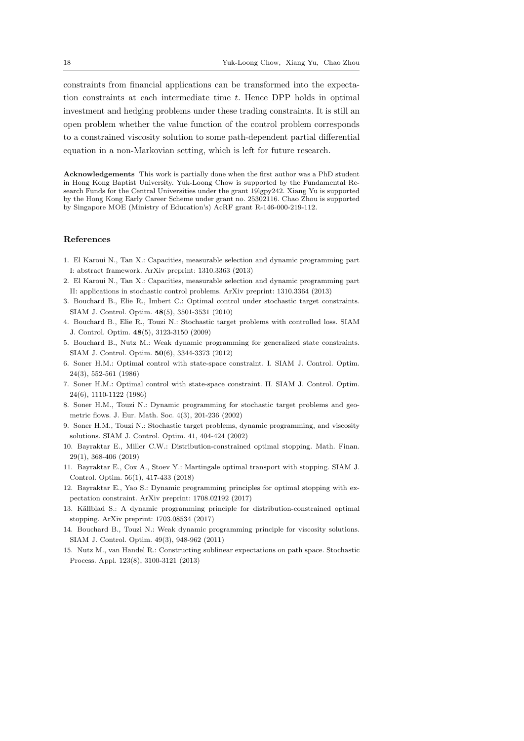constraints from financial applications can be transformed into the expectation constraints at each intermediate time  $t$ . Hence DPP holds in optimal investment and hedging problems under these trading constraints. It is still an open problem whether the value function of the control problem corresponds to a constrained viscosity solution to some path-dependent partial differential equation in a non-Markovian setting, which is left for future research.

Acknowledgements This work is partially done when the first author was a PhD student in Hong Kong Baptist University. Yuk-Loong Chow is supported by the Fundamental Research Funds for the Central Universities under the grant 19lgpy242. Xiang Yu is supported by the Hong Kong Early Career Scheme under grant no. 25302116. Chao Zhou is supported by Singapore MOE (Ministry of Education's) AcRF grant R-146-000-219-112.

## References

- 1. El Karoui N., Tan X.: Capacities, measurable selection and dynamic programming part I: abstract framework. ArXiv preprint: 1310.3363 (2013)
- 2. El Karoui N., Tan X.: Capacities, measurable selection and dynamic programming part II: applications in stochastic control problems. ArXiv preprint: 1310.3364 (2013)
- 3. Bouchard B., Elie R., Imbert C.: Optimal control under stochastic target constraints. SIAM J. Control. Optim. 48(5), 3501-3531 (2010)
- 4. Bouchard B., Elie R., Touzi N.: Stochastic target problems with controlled loss. SIAM J. Control. Optim. 48(5), 3123-3150 (2009)
- 5. Bouchard B., Nutz M.: Weak dynamic programming for generalized state constraints. SIAM J. Control. Optim. 50(6), 3344-3373 (2012)
- 6. Soner H.M.: Optimal control with state-space constraint. I. SIAM J. Control. Optim. 24(3), 552-561 (1986)
- 7. Soner H.M.: Optimal control with state-space constraint. II. SIAM J. Control. Optim. 24(6), 1110-1122 (1986)
- 8. Soner H.M., Touzi N.: Dynamic programming for stochastic target problems and geometric flows. J. Eur. Math. Soc. 4(3), 201-236 (2002)
- 9. Soner H.M., Touzi N.: Stochastic target problems, dynamic programming, and viscosity solutions. SIAM J. Control. Optim. 41, 404-424 (2002)
- 10. Bayraktar E., Miller C.W.: Distribution-constrained optimal stopping. Math. Finan. 29(1), 368-406 (2019)
- 11. Bayraktar E., Cox A., Stoev Y.: Martingale optimal transport with stopping. SIAM J. Control. Optim. 56(1), 417-433 (2018)
- 12. Bayraktar E., Yao S.: Dynamic programming principles for optimal stopping with expectation constraint. ArXiv preprint: 1708.02192 (2017)
- 13. Källblad S.: A dynamic programming principle for distribution-constrained optimal stopping. ArXiv preprint: 1703.08534 (2017)
- 14. Bouchard B., Touzi N.: Weak dynamic programming principle for viscosity solutions. SIAM J. Control. Optim. 49(3), 948-962 (2011)
- 15. Nutz M., van Handel R.: Constructing sublinear expectations on path space. Stochastic Process. Appl. 123(8), 3100-3121 (2013)